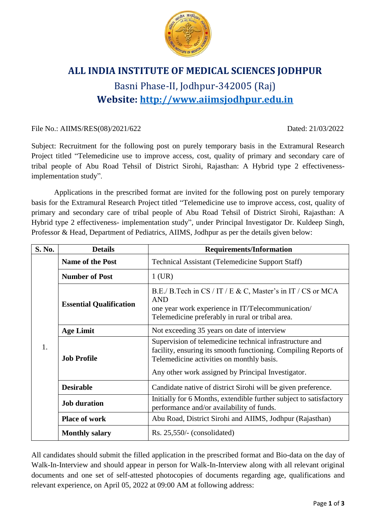

## **ALL INDIA INSTITUTE OF MEDICAL SCIENCES JODHPUR** Basni Phase-II, Jodhpur-342005 (Raj) **Website: [http://www.aiimsjodhpur.edu.in](http://www.aiimsjodhpur.edu.in/)**

File No.: AIIMS/RES(08)/2021/622 Dated: 21/03/2022

Subject: Recruitment for the following post on purely temporary basis in the Extramural Research Project titled "Telemedicine use to improve access, cost, quality of primary and secondary care of tribal people of Abu Road Tehsil of District Sirohi, Rajasthan: A Hybrid type 2 effectivenessimplementation study".

Applications in the prescribed format are invited for the following post on purely temporary basis for the Extramural Research Project titled "Telemedicine use to improve access, cost, quality of primary and secondary care of tribal people of Abu Road Tehsil of District Sirohi, Rajasthan: A Hybrid type 2 effectiveness- implementation study", under Principal Investigator Dr. Kuldeep Singh, Professor & Head, Department of Pediatrics, AIIMS, Jodhpur as per the details given below:

| S. No. | <b>Details</b>                 | <b>Requirements/Information</b>                                                                                                                                                                                                |  |  |  |
|--------|--------------------------------|--------------------------------------------------------------------------------------------------------------------------------------------------------------------------------------------------------------------------------|--|--|--|
| 1.     | <b>Name of the Post</b>        | <b>Technical Assistant (Telemedicine Support Staff)</b>                                                                                                                                                                        |  |  |  |
|        | <b>Number of Post</b>          | $1$ (UR)                                                                                                                                                                                                                       |  |  |  |
|        | <b>Essential Qualification</b> | B.E./ B.Tech in CS / IT / E & C, Master's in IT / CS or MCA<br><b>AND</b><br>one year work experience in IT/Telecommunication/<br>Telemedicine preferably in rural or tribal area.                                             |  |  |  |
|        | <b>Age Limit</b>               | Not exceeding 35 years on date of interview                                                                                                                                                                                    |  |  |  |
|        | <b>Job Profile</b>             | Supervision of telemedicine technical infrastructure and<br>facility, ensuring its smooth functioning. Compiling Reports of<br>Telemedicine activities on monthly basis.<br>Any other work assigned by Principal Investigator. |  |  |  |
|        | <b>Desirable</b>               | Candidate native of district Sirohi will be given preference.                                                                                                                                                                  |  |  |  |
|        | <b>Job duration</b>            | Initially for 6 Months, extendible further subject to satisfactory<br>performance and/or availability of funds.                                                                                                                |  |  |  |
|        | <b>Place of work</b>           | Abu Road, District Sirohi and AIIMS, Jodhpur (Rajasthan)                                                                                                                                                                       |  |  |  |
|        | <b>Monthly salary</b>          | $Rs. 25,550/-(considered)$                                                                                                                                                                                                     |  |  |  |

All candidates should submit the filled application in the prescribed format and Bio-data on the day of Walk-In-Interview and should appear in person for Walk-In-Interview along with all relevant original documents and one set of self-attested photocopies of documents regarding age, qualifications and relevant experience, on April 05, 2022 at 09:00 AM at following address: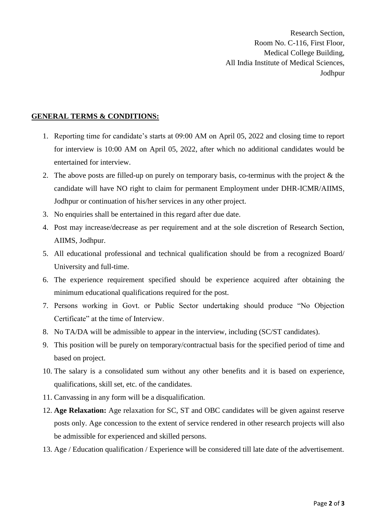Research Section, Room No. C-116, First Floor, Medical College Building, All India Institute of Medical Sciences, Jodhpur

## **GENERAL TERMS & CONDITIONS:**

- 1. Reporting time for candidate's starts at 09:00 AM on April 05, 2022 and closing time to report for interview is 10:00 AM on April 05, 2022, after which no additional candidates would be entertained for interview.
- 2. The above posts are filled-up on purely on temporary basis, co-terminus with the project & the candidate will have NO right to claim for permanent Employment under DHR-ICMR/AIIMS, Jodhpur or continuation of his/her services in any other project.
- 3. No enquiries shall be entertained in this regard after due date.
- 4. Post may increase/decrease as per requirement and at the sole discretion of Research Section, AIIMS, Jodhpur.
- 5. All educational professional and technical qualification should be from a recognized Board/ University and full-time.
- 6. The experience requirement specified should be experience acquired after obtaining the minimum educational qualifications required for the post.
- 7. Persons working in Govt. or Public Sector undertaking should produce "No Objection Certificate" at the time of Interview.
- 8. No TA/DA will be admissible to appear in the interview, including (SC/ST candidates).
- 9. This position will be purely on temporary/contractual basis for the specified period of time and based on project.
- 10. The salary is a consolidated sum without any other benefits and it is based on experience, qualifications, skill set, etc. of the candidates.
- 11. Canvassing in any form will be a disqualification.
- 12. **Age Relaxation:** Age relaxation for SC, ST and OBC candidates will be given against reserve posts only. Age concession to the extent of service rendered in other research projects will also be admissible for experienced and skilled persons.
- 13. Age / Education qualification / Experience will be considered till late date of the advertisement.